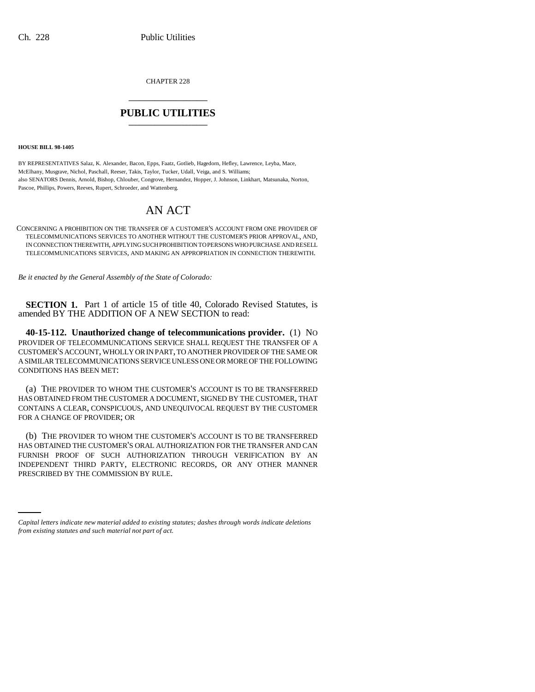CHAPTER 228 \_\_\_\_\_\_\_\_\_\_\_\_\_\_\_

## **PUBLIC UTILITIES** \_\_\_\_\_\_\_\_\_\_\_\_\_\_\_

**HOUSE BILL 98-1405**

BY REPRESENTATIVES Salaz, K. Alexander, Bacon, Epps, Faatz, Gotlieb, Hagedorn, Hefley, Lawrence, Leyba, Mace, McElhany, Musgrave, Nichol, Paschall, Reeser, Takis, Taylor, Tucker, Udall, Veiga, and S. Williams; also SENATORS Dennis, Arnold, Bishop, Chlouber, Congrove, Hernandez, Hopper, J. Johnson, Linkhart, Matsunaka, Norton, Pascoe, Phillips, Powers, Reeves, Rupert, Schroeder, and Wattenberg.

## AN ACT

CONCERNING A PROHIBITION ON THE TRANSFER OF A CUSTOMER'S ACCOUNT FROM ONE PROVIDER OF TELECOMMUNICATIONS SERVICES TO ANOTHER WITHOUT THE CUSTOMER'S PRIOR APPROVAL, AND, IN CONNECTION THEREWITH, APPLYING SUCH PROHIBITION TO PERSONS WHO PURCHASE AND RESELL TELECOMMUNICATIONS SERVICES, AND MAKING AN APPROPRIATION IN CONNECTION THEREWITH.

*Be it enacted by the General Assembly of the State of Colorado:*

**SECTION 1.** Part 1 of article 15 of title 40, Colorado Revised Statutes, is amended BY THE ADDITION OF A NEW SECTION to read:

**40-15-112. Unauthorized change of telecommunications provider.** (1) NO PROVIDER OF TELECOMMUNICATIONS SERVICE SHALL REQUEST THE TRANSFER OF A CUSTOMER'S ACCOUNT, WHOLLY OR IN PART, TO ANOTHER PROVIDER OF THE SAME OR A SIMILAR TELECOMMUNICATIONS SERVICE UNLESS ONE OR MORE OF THE FOLLOWING CONDITIONS HAS BEEN MET:

(a) THE PROVIDER TO WHOM THE CUSTOMER'S ACCOUNT IS TO BE TRANSFERRED HAS OBTAINED FROM THE CUSTOMER A DOCUMENT, SIGNED BY THE CUSTOMER, THAT CONTAINS A CLEAR, CONSPICUOUS, AND UNEQUIVOCAL REQUEST BY THE CUSTOMER FOR A CHANGE OF PROVIDER; OR

INDEPENDENT THIRD PARTY, ELECTRONIC RECORDS, OR ANY OTHER MANNER (b) THE PROVIDER TO WHOM THE CUSTOMER'S ACCOUNT IS TO BE TRANSFERRED HAS OBTAINED THE CUSTOMER'S ORAL AUTHORIZATION FOR THE TRANSFER AND CAN FURNISH PROOF OF SUCH AUTHORIZATION THROUGH VERIFICATION BY AN PRESCRIBED BY THE COMMISSION BY RULE.

*Capital letters indicate new material added to existing statutes; dashes through words indicate deletions from existing statutes and such material not part of act.*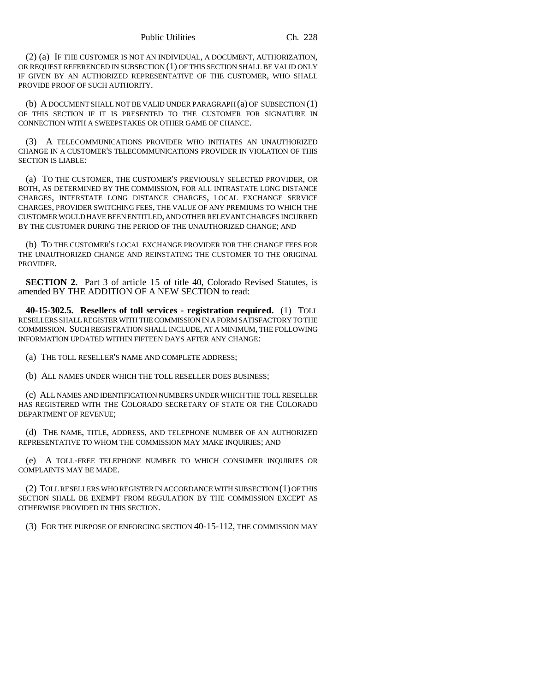(2) (a) IF THE CUSTOMER IS NOT AN INDIVIDUAL, A DOCUMENT, AUTHORIZATION, OR REQUEST REFERENCED IN SUBSECTION (1) OF THIS SECTION SHALL BE VALID ONLY IF GIVEN BY AN AUTHORIZED REPRESENTATIVE OF THE CUSTOMER, WHO SHALL PROVIDE PROOF OF SUCH AUTHORITY.

(b) A DOCUMENT SHALL NOT BE VALID UNDER PARAGRAPH (a) OF SUBSECTION (1) OF THIS SECTION IF IT IS PRESENTED TO THE CUSTOMER FOR SIGNATURE IN CONNECTION WITH A SWEEPSTAKES OR OTHER GAME OF CHANCE.

(3) A TELECOMMUNICATIONS PROVIDER WHO INITIATES AN UNAUTHORIZED CHANGE IN A CUSTOMER'S TELECOMMUNICATIONS PROVIDER IN VIOLATION OF THIS SECTION IS LIABLE:

(a) TO THE CUSTOMER, THE CUSTOMER'S PREVIOUSLY SELECTED PROVIDER, OR BOTH, AS DETERMINED BY THE COMMISSION, FOR ALL INTRASTATE LONG DISTANCE CHARGES, INTERSTATE LONG DISTANCE CHARGES, LOCAL EXCHANGE SERVICE CHARGES, PROVIDER SWITCHING FEES, THE VALUE OF ANY PREMIUMS TO WHICH THE CUSTOMER WOULD HAVE BEEN ENTITLED, AND OTHER RELEVANT CHARGES INCURRED BY THE CUSTOMER DURING THE PERIOD OF THE UNAUTHORIZED CHANGE; AND

(b) TO THE CUSTOMER'S LOCAL EXCHANGE PROVIDER FOR THE CHANGE FEES FOR THE UNAUTHORIZED CHANGE AND REINSTATING THE CUSTOMER TO THE ORIGINAL PROVIDER.

**SECTION 2.** Part 3 of article 15 of title 40, Colorado Revised Statutes, is amended BY THE ADDITION OF A NEW SECTION to read:

**40-15-302.5. Resellers of toll services - registration required.** (1) TOLL RESELLERS SHALL REGISTER WITH THE COMMISSION IN A FORM SATISFACTORY TO THE COMMISSION. SUCH REGISTRATION SHALL INCLUDE, AT A MINIMUM, THE FOLLOWING INFORMATION UPDATED WITHIN FIFTEEN DAYS AFTER ANY CHANGE:

(a) THE TOLL RESELLER'S NAME AND COMPLETE ADDRESS;

(b) ALL NAMES UNDER WHICH THE TOLL RESELLER DOES BUSINESS;

(c) ALL NAMES AND IDENTIFICATION NUMBERS UNDER WHICH THE TOLL RESELLER HAS REGISTERED WITH THE COLORADO SECRETARY OF STATE OR THE COLORADO DEPARTMENT OF REVENUE;

(d) THE NAME, TITLE, ADDRESS, AND TELEPHONE NUMBER OF AN AUTHORIZED REPRESENTATIVE TO WHOM THE COMMISSION MAY MAKE INQUIRIES; AND

(e) A TOLL-FREE TELEPHONE NUMBER TO WHICH CONSUMER INQUIRIES OR COMPLAINTS MAY BE MADE.

(2) TOLL RESELLERS WHO REGISTER IN ACCORDANCE WITH SUBSECTION (1) OF THIS SECTION SHALL BE EXEMPT FROM REGULATION BY THE COMMISSION EXCEPT AS OTHERWISE PROVIDED IN THIS SECTION.

(3) FOR THE PURPOSE OF ENFORCING SECTION 40-15-112, THE COMMISSION MAY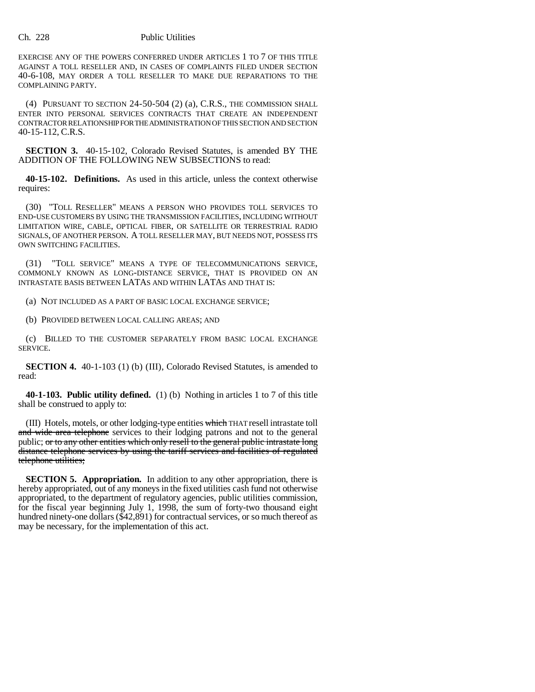## Ch. 228 Public Utilities

EXERCISE ANY OF THE POWERS CONFERRED UNDER ARTICLES 1 TO 7 OF THIS TITLE AGAINST A TOLL RESELLER AND, IN CASES OF COMPLAINTS FILED UNDER SECTION 40-6-108, MAY ORDER A TOLL RESELLER TO MAKE DUE REPARATIONS TO THE COMPLAINING PARTY.

(4) PURSUANT TO SECTION 24-50-504 (2) (a), C.R.S., THE COMMISSION SHALL ENTER INTO PERSONAL SERVICES CONTRACTS THAT CREATE AN INDEPENDENT CONTRACTOR RELATIONSHIP FOR THE ADMINISTRATION OF THIS SECTION AND SECTION 40-15-112, C.R.S.

**SECTION 3.** 40-15-102, Colorado Revised Statutes, is amended BY THE ADDITION OF THE FOLLOWING NEW SUBSECTIONS to read:

**40-15-102. Definitions.** As used in this article, unless the context otherwise requires:

(30) "TOLL RESELLER" MEANS A PERSON WHO PROVIDES TOLL SERVICES TO END-USE CUSTOMERS BY USING THE TRANSMISSION FACILITIES, INCLUDING WITHOUT LIMITATION WIRE, CABLE, OPTICAL FIBER, OR SATELLITE OR TERRESTRIAL RADIO SIGNALS, OF ANOTHER PERSON. A TOLL RESELLER MAY, BUT NEEDS NOT, POSSESS ITS OWN SWITCHING FACILITIES.

(31) "TOLL SERVICE" MEANS A TYPE OF TELECOMMUNICATIONS SERVICE, COMMONLY KNOWN AS LONG-DISTANCE SERVICE, THAT IS PROVIDED ON AN INTRASTATE BASIS BETWEEN LATAS AND WITHIN LATAS AND THAT IS:

(a) NOT INCLUDED AS A PART OF BASIC LOCAL EXCHANGE SERVICE;

(b) PROVIDED BETWEEN LOCAL CALLING AREAS; AND

(c) BILLED TO THE CUSTOMER SEPARATELY FROM BASIC LOCAL EXCHANGE SERVICE.

**SECTION 4.** 40-1-103 (1) (b) (III), Colorado Revised Statutes, is amended to read:

**40-1-103. Public utility defined.** (1) (b) Nothing in articles 1 to 7 of this title shall be construed to apply to:

(III) Hotels, motels, or other lodging-type entities which THAT resell intrastate toll and wide area telephone services to their lodging patrons and not to the general public; or to any other entities which only resell to the general public intrastate long distance telephone services by using the tariff services and facilities of regulated telephone utilities;

**SECTION 5. Appropriation.** In addition to any other appropriation, there is hereby appropriated, out of any moneys in the fixed utilities cash fund not otherwise appropriated, to the department of regulatory agencies, public utilities commission, for the fiscal year beginning July 1, 1998, the sum of forty-two thousand eight hundred ninety-one dollars (\$42,891) for contractual services, or so much thereof as may be necessary, for the implementation of this act.